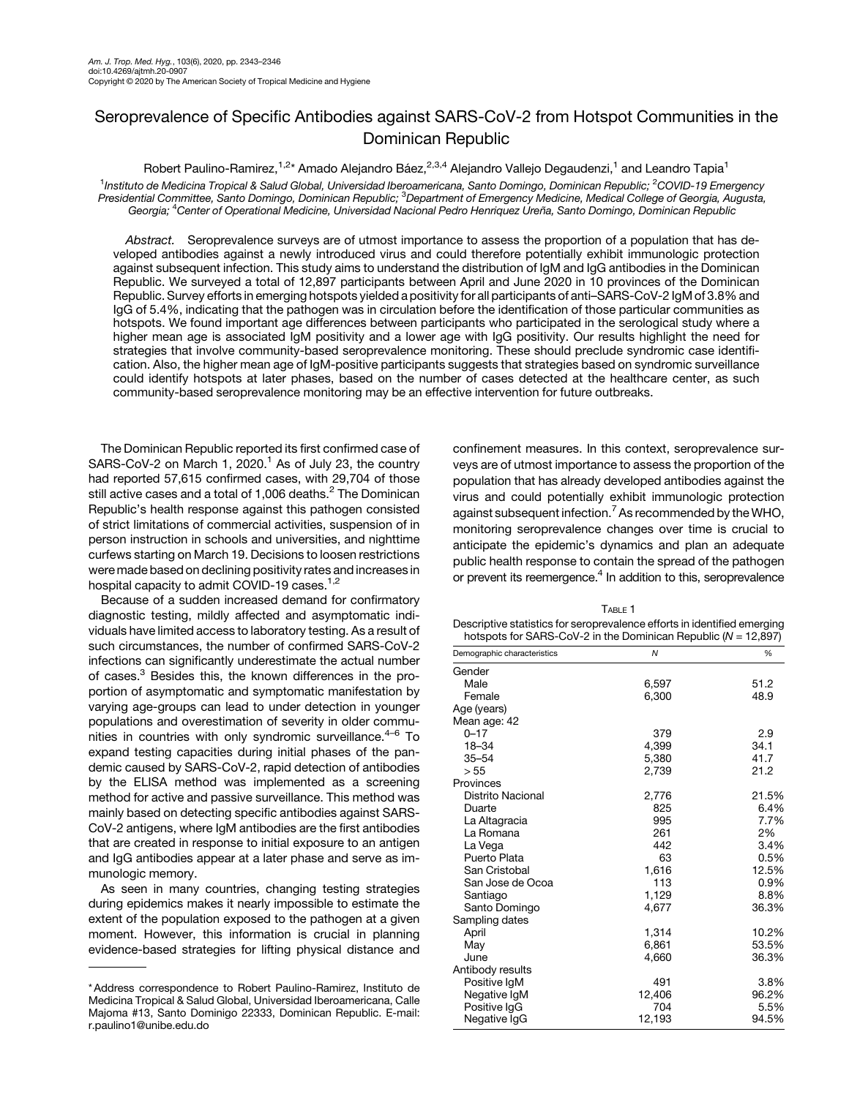## <span id="page-0-0"></span>Seroprevalence of Specific Antibodies against SARS-CoV-2 from Hotspot Communities in the Dominican Republic

Robert Paulino-Ramirez,<sup>1,2\*</sup> Amado Alejandro Báez,<sup>2,3,4</sup> Alejandro Vallejo Degaudenzi,<sup>1</sup> and Leandro Tapia<sup>1</sup> <sup>1</sup>Instituto de Medicina Tropical & Salud Global, Universidad Iberoamericana, Santo Domingo, Dominican Republic; <sup>2</sup>COVID-19 Emergency<br>Presidential Committee, Santo Domingo, Dominican Republic; <sup>3</sup>Department of Emergency M Georgia; <sup>4</sup> Center of Operational Medicine, Universidad Nacional Pedro Henriquez Ureña, Santo Domingo, Dominican Republic

Abstract. Seroprevalence surveys are of utmost importance to assess the proportion of a population that has developed antibodies against a newly introduced virus and could therefore potentially exhibit immunologic protection against subsequent infection. This study aims to understand the distribution of IgM and IgG antibodies in the Dominican Republic. We surveyed a total of 12,897 participants between April and June 2020 in 10 provinces of the Dominican Republic. Survey efforts in emerging hotspots yielded a positivity for all participants of anti–SARS-CoV-2 IgM of 3.8% and IgG of 5.4%, indicating that the pathogen was in circulation before the identification of those particular communities as hotspots. We found important age differences between participants who participated in the serological study where a higher mean age is associated IgM positivity and a lower age with IgG positivity. Our results highlight the need for strategies that involve community-based seroprevalence monitoring. These should preclude syndromic case identification. Also, the higher mean age of IgM-positive participants suggests that strategies based on syndromic surveillance could identify hotspots at later phases, based on the number of cases detected at the healthcare center, as such community-based seroprevalence monitoring may be an effective intervention for future outbreaks.

The Dominican Republic reported its first confirmed case of SARS-CoV-2 on March [1](#page-3-0), 2020.<sup>1</sup> As of July 23, the country had reported 57,615 confirmed cases, with 29,704 of those still active cases and a total of 1,006 deaths.<sup>[2](#page-3-0)</sup> The Dominican Republic's health response against this pathogen consisted of strict limitations of commercial activities, suspension of in person instruction in schools and universities, and nighttime curfews starting on March 19. Decisions to loosen restrictions were made based on declining positivity rates and increases in hospital capacity to admit COVID-19 cases.<sup>[1,2](#page-3-0)</sup>

Because of a sudden increased demand for confirmatory diagnostic testing, mildly affected and asymptomatic individuals have limited access to laboratory testing. As a result of such circumstances, the number of confirmed SARS-CoV-2 infections can significantly underestimate the actual number of cases.<sup>[3](#page-3-0)</sup> Besides this, the known differences in the proportion of asymptomatic and symptomatic manifestation by varying age-groups can lead to under detection in younger populations and overestimation of severity in older communities in countries with only syndromic surveillance. $4-6$  $4-6$  $4-6$  To expand testing capacities during initial phases of the pandemic caused by SARS-CoV-2, rapid detection of antibodies by the ELISA method was implemented as a screening method for active and passive surveillance. This method was mainly based on detecting specific antibodies against SARS-CoV-2 antigens, where IgM antibodies are the first antibodies that are created in response to initial exposure to an antigen and IgG antibodies appear at a later phase and serve as immunologic memory.

As seen in many countries, changing testing strategies during epidemics makes it nearly impossible to estimate the extent of the population exposed to the pathogen at a given moment. However, this information is crucial in planning evidence-based strategies for lifting physical distance and confinement measures. In this context, seroprevalence surveys are of utmost importance to assess the proportion of the population that has already developed antibodies against the virus and could potentially exhibit immunologic protection against subsequent infection.<sup>7</sup> As recommended by the WHO, monitoring seroprevalence changes over time is crucial to anticipate the epidemic's dynamics and plan an adequate public health response to contain the spread of the pathogen or prevent its reemergence.<sup>4</sup> In addition to this, seroprevalence

 $T_{ADL} = 1$ 

| IABLE I<br>Descriptive statistics for seroprevalence efforts in identified emerging<br>hotspots for SARS-CoV-2 in the Dominican Republic ( $N = 12,897$ ) |              |       |
|-----------------------------------------------------------------------------------------------------------------------------------------------------------|--------------|-------|
| Demographic characteristics                                                                                                                               | $\mathcal N$ | %     |
| Gender                                                                                                                                                    |              |       |
| Male                                                                                                                                                      | 6,597        | 51.2  |
| Female                                                                                                                                                    | 6.300        | 48.9  |
| Age (years)                                                                                                                                               |              |       |
| Mean age: 42                                                                                                                                              |              |       |
| $0 - 17$                                                                                                                                                  | 379          | 2.9   |
| 18-34                                                                                                                                                     | 4,399        | 34.1  |
| $35 - 54$                                                                                                                                                 | 5,380        | 41.7  |
| > 55                                                                                                                                                      | 2,739        | 21.2  |
| Provinces                                                                                                                                                 |              |       |
| <b>Distrito Nacional</b>                                                                                                                                  | 2,776        | 21.5% |
| Duarte                                                                                                                                                    | 825          | 6.4%  |
| La Altagracia                                                                                                                                             | 995          | 7.7%  |
| La Romana                                                                                                                                                 | 261          | 2%    |
| La Vega                                                                                                                                                   | 442          | 3.4%  |
| Puerto Plata                                                                                                                                              | 63           | 0.5%  |
| San Cristobal                                                                                                                                             | 1,616        | 12.5% |
| San Jose de Ocoa                                                                                                                                          | 113          | 0.9%  |
| Santiago                                                                                                                                                  | 1,129        | 8.8%  |
| Santo Domingo                                                                                                                                             | 4,677        | 36.3% |
| Sampling dates                                                                                                                                            |              |       |
| April                                                                                                                                                     | 1,314        | 10.2% |
| May                                                                                                                                                       | 6,861        | 53.5% |
| June                                                                                                                                                      | 4,660        | 36.3% |
| Antibody results                                                                                                                                          |              |       |
| Positive IgM                                                                                                                                              | 491          | 3.8%  |
| Negative IgM                                                                                                                                              | 12,406       | 96.2% |
| Positive IgG                                                                                                                                              | 704          | 5.5%  |
| Negative IgG                                                                                                                                              | 12,193       | 94.5% |

<sup>\*</sup> Address correspondence to Robert Paulino-Ramirez, Instituto de Medicina Tropical & Salud Global, Universidad Iberoamericana, Calle Majoma #13, Santo Dominigo 22333, Dominican Republic. E-mail: [r.paulino1@unibe.edu.do](mailto:r.paulino1@unibe.edu.do)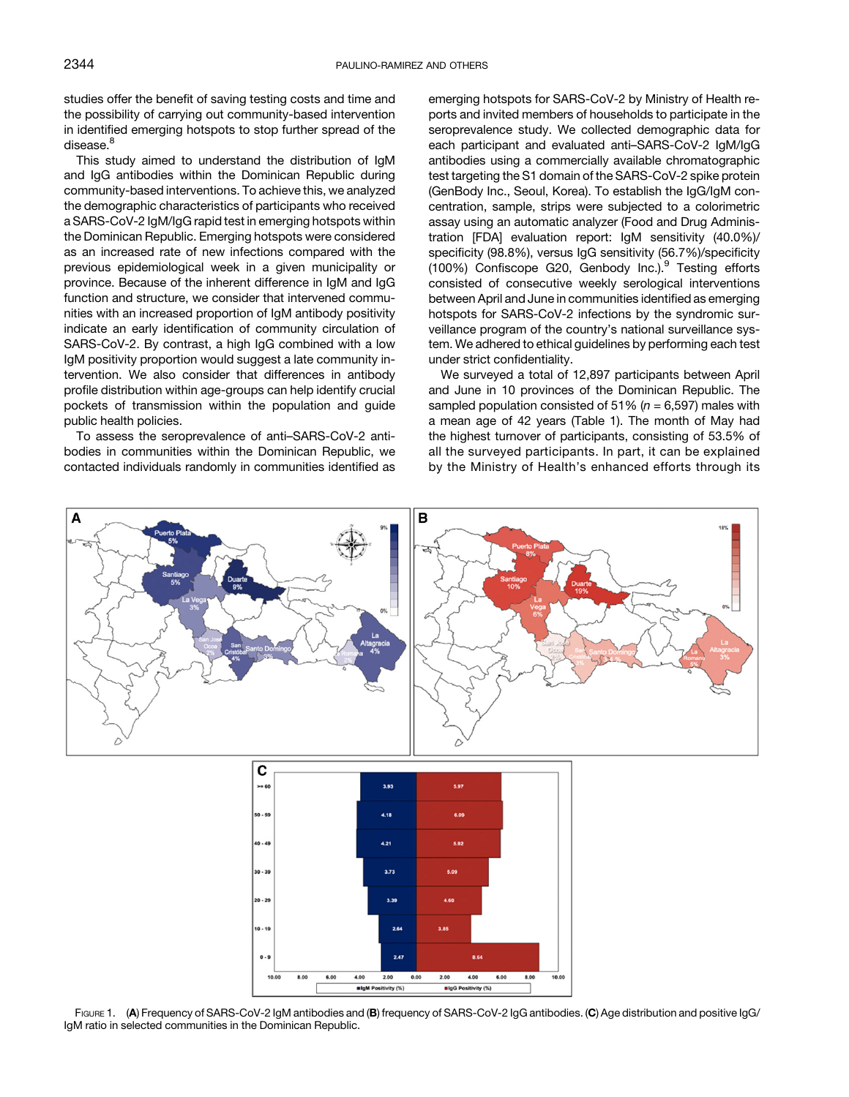<span id="page-1-0"></span>studies offer the benefit of saving testing costs and time and the possibility of carrying out community-based intervention in identified emerging hotspots to stop further spread of the disease.<sup>8</sup>

This study aimed to understand the distribution of IgM and IgG antibodies within the Dominican Republic during community-based interventions. To achieve this, we analyzed the demographic characteristics of participants who received a SARS-CoV-2 IgM/IgG rapid test in emerging hotspots within the Dominican Republic. Emerging hotspots were considered as an increased rate of new infections compared with the previous epidemiological week in a given municipality or province. Because of the inherent difference in IgM and IgG function and structure, we consider that intervened communities with an increased proportion of IgM antibody positivity indicate an early identification of community circulation of SARS-CoV-2. By contrast, a high IgG combined with a low IgM positivity proportion would suggest a late community intervention. We also consider that differences in antibody profile distribution within age-groups can help identify crucial pockets of transmission within the population and guide public health policies.

To assess the seroprevalence of anti–SARS-CoV-2 antibodies in communities within the Dominican Republic, we contacted individuals randomly in communities identified as emerging hotspots for SARS-CoV-2 by Ministry of Health reports and invited members of households to participate in the seroprevalence study. We collected demographic data for each participant and evaluated anti–SARS-CoV-2 IgM/IgG antibodies using a commercially available chromatographic test targeting the S1 domain of the SARS-CoV-2 spike protein (GenBody Inc., Seoul, Korea). To establish the IgG/IgM concentration, sample, strips were subjected to a colorimetric assay using an automatic analyzer (Food and Drug Administration [FDA] evaluation report: IgM sensitivity (40.0%)/ specificity (98.8%), versus IgG sensitivity (56.7%)/specificity (100%) Confiscope G20, Genbody Inc.).<sup>[9](#page-3-0)</sup> Testing efforts consisted of consecutive weekly serological interventions between April and June in communities identified as emerging hotspots for SARS-CoV-2 infections by the syndromic surveillance program of the country's national surveillance system. We adhered to ethical guidelines by performing each test under strict confidentiality.

We surveyed a total of 12,897 participants between April and June in 10 provinces of the Dominican Republic. The sampled population consisted of 51% ( $n = 6,597$ ) males with a mean age of 42 years [\(Table 1\)](#page-0-0). The month of May had the highest turnover of participants, consisting of 53.5% of all the surveyed participants. In part, it can be explained by the Ministry of Health's enhanced efforts through its





FIGURE 1. (A) Frequency of SARS-CoV-2 IgM antibodies and (B) frequency of SARS-CoV-2 IgG antibodies. (C) Age distribution and positive IgG/ IgM ratio in selected communities in the Dominican Republic.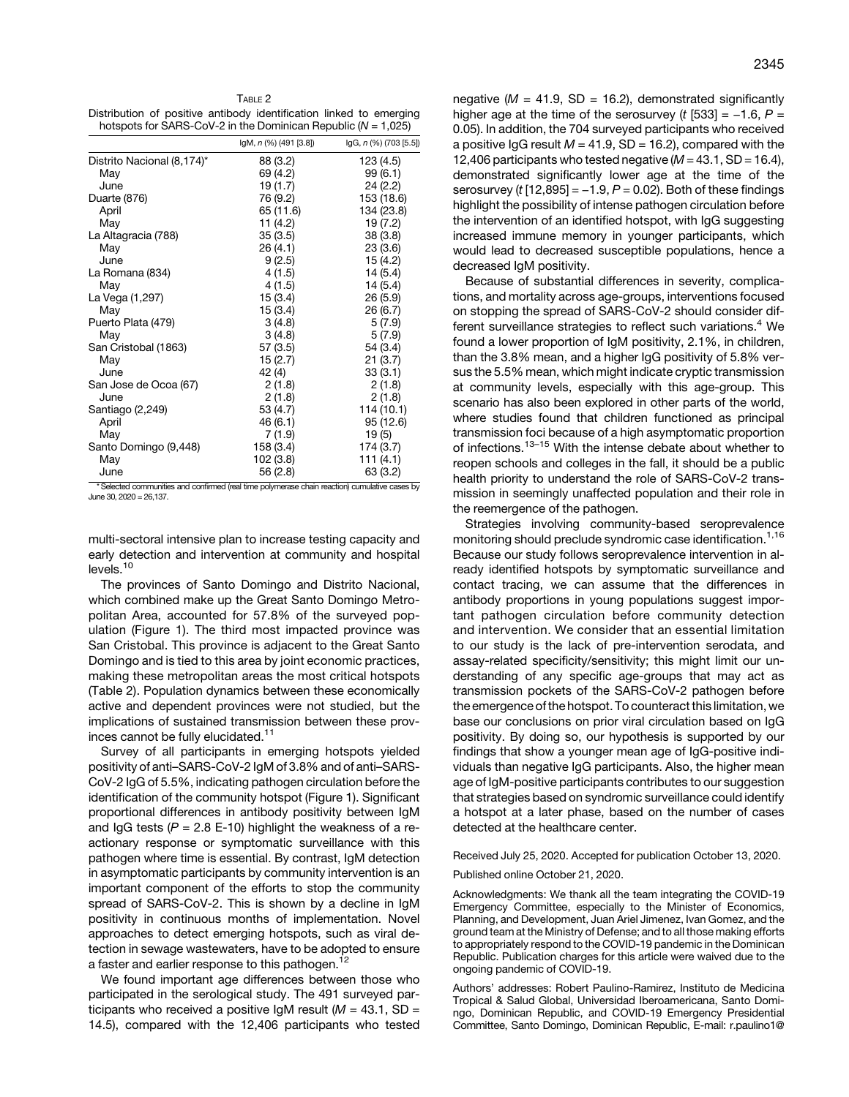Distribution of positive antibody identification linked to emerging hotspots for SARS-CoV-2 in the Dominican Republic ( $N = 1,025$ )

|                            | IgM, n (%) (491 [3.8]) | $lgG, n$ (%) (703 [5.5]) |
|----------------------------|------------------------|--------------------------|
| Distrito Nacional (8,174)* | 88 (3.2)               | 123 (4.5)                |
| May                        | 69 (4.2)               | 99(6.1)                  |
| June                       | 19 (1.7)               | 24(2.2)                  |
| Duarte (876)               | 76 (9.2)               | 153 (18.6)               |
| April                      | 65 (11.6)              | 134 (23.8)               |
| May                        | 11 $(4.2)$             | 19 (7.2)                 |
| La Altagracia (788)        | 35(3.5)                | 38(3.8)                  |
| May                        | 26 (4.1)               | 23(3.6)                  |
| June                       | 9(2.5)                 | 15 (4.2)                 |
| La Romana (834)            | 4(1.5)                 | 14(5.4)                  |
| May                        | 4(1.5)                 | 14(5.4)                  |
| La Vega (1,297)            | 15(3.4)                | 26(5.9)                  |
| May                        | 15(3.4)                | 26(6.7)                  |
| Puerto Plata (479)         | 3(4.8)                 | 5(7.9)                   |
| May                        | 3(4.8)                 | 5(7.9)                   |
| San Cristobal (1863)       | 57(3.5)                | 54 (3.4)                 |
| May                        | 15(2.7)                | 21(3.7)                  |
| June                       | 42 (4)                 | 33(3.1)                  |
| San Jose de Ocoa (67)      | 2(1.8)                 | 2(1.8)                   |
| June                       | 2(1.8)                 | 2(1.8)                   |
| Santiago (2,249)           | 53 (4.7)               | 114 (10.1)               |
| April                      | 46 (6.1)               | 95 (12.6)                |
| May                        | 7(1.9)                 | 19(5)                    |
| Santo Domingo (9,448)      | 158 (3.4)              | 174 (3.7)                |
| May                        | 102 (3.8)              | 111(4.1)                 |
| June                       | 56 (2.8)               | 63 (3.2)                 |

\* Selected communities and confirmed (real time polymerase chain reaction) cumulative cases by June 30, 2020 = 26,137.

multi-sectoral intensive plan to increase testing capacity and early detection and intervention at community and hospital levels.<sup>[10](#page-3-0)</sup>

The provinces of Santo Domingo and Distrito Nacional, which combined make up the Great Santo Domingo Metropolitan Area, accounted for 57.8% of the surveyed population [\(Figure 1\)](#page-1-0). The third most impacted province was San Cristobal. This province is adjacent to the Great Santo Domingo and is tied to this area by joint economic practices, making these metropolitan areas the most critical hotspots (Table 2). Population dynamics between these economically active and dependent provinces were not studied, but the implications of sustained transmission between these prov-inces cannot be fully elucidated.<sup>[11](#page-3-0)</sup>

Survey of all participants in emerging hotspots yielded positivity of anti–SARS-CoV-2 IgM of 3.8% and of anti–SARS-CoV-2 IgG of 5.5%, indicating pathogen circulation before the identification of the community hotspot [\(Figure 1](#page-1-0)). Significant proportional differences in antibody positivity between IgM and IgG tests ( $P = 2.8$  E-10) highlight the weakness of a reactionary response or symptomatic surveillance with this pathogen where time is essential. By contrast, IgM detection in asymptomatic participants by community intervention is an important component of the efforts to stop the community spread of SARS-CoV-2. This is shown by a decline in IgM positivity in continuous months of implementation. Novel approaches to detect emerging hotspots, such as viral detection in sewage wastewaters, have to be adopted to ensure a faster and earlier response to this pathogen.<sup>[12](#page-3-0)</sup>

We found important age differences between those who participated in the serological study. The 491 surveyed participants who received a positive IgM result ( $M = 43.1$ , SD = 14.5), compared with the 12,406 participants who tested negative ( $M = 41.9$ , SD = 16.2), demonstrated significantly higher age at the time of the serosurvey (t  $[533] = -1.6$ ,  $P =$ 0.05). In addition, the 704 surveyed participants who received a positive IgG result  $M = 41.9$ , SD = 16.2), compared with the 12,406 participants who tested negative ( $M = 43.1$ , SD = 16.4), demonstrated significantly lower age at the time of the a positive IgG result  $M = 41.9$ , SD = 16.2), compared with the<br>12,406 participants who tested negative ( $M = 43.1$ , SD = 16.4),<br>demonstrated significantly lower age at the time of the<br>serosurvey (t [12,895] = -1.9, P = 0.0 highlight the possibility of intense pathogen circulation before the intervention of an identified hotspot, with IgG suggesting increased immune memory in younger participants, which would lead to decreased susceptible populations, hence a decreased IgM positivity.

Because of substantial differences in severity, complications, and mortality across age-groups, interventions focused on stopping the spread of SARS-CoV-2 should consider dif-ferent surveillance strategies to reflect such variations.<sup>[4](#page-3-0)</sup> We found a lower proportion of IgM positivity, 2.1%, in children, than the 3.8% mean, and a higher IgG positivity of 5.8% versus the 5.5% mean, which might indicate cryptic transmission at community levels, especially with this age-group. This scenario has also been explored in other parts of the world, where studies found that children functioned as principal transmission foci because of a high asymptomatic proportion of infections.<sup>[13](#page-3-0)–[15](#page-3-0)</sup> With the intense debate about whether to reopen schools and colleges in the fall, it should be a public health priority to understand the role of SARS-CoV-2 transmission in seemingly unaffected population and their role in the reemergence of the pathogen.

Strategies involving community-based seroprevalence monitoring should preclude syndromic case identification.[1,16](#page-3-0) Because our study follows seroprevalence intervention in already identified hotspots by symptomatic surveillance and contact tracing, we can assume that the differences in antibody proportions in young populations suggest important pathogen circulation before community detection and intervention. We consider that an essential limitation to our study is the lack of pre-intervention serodata, and assay-related specificity/sensitivity; this might limit our understanding of any specific age-groups that may act as transmission pockets of the SARS-CoV-2 pathogen before the emergence of the hotspot. To counteract this limitation, we base our conclusions on prior viral circulation based on IgG positivity. By doing so, our hypothesis is supported by our findings that show a younger mean age of IgG-positive individuals than negative IgG participants. Also, the higher mean age of IgM-positive participants contributes to our suggestion that strategies based on syndromic surveillance could identify a hotspot at a later phase, based on the number of cases detected at the healthcare center.

Received July 25, 2020. Accepted for publication October 13, 2020.

Published online October 21, 2020.

Acknowledgments: We thank all the team integrating the COVID-19 Emergency Committee, especially to the Minister of Economics, Planning, and Development, Juan Ariel Jimenez, Ivan Gomez, and the ground team at the Ministry of Defense; and to all those making efforts to appropriately respond to the COVID-19 pandemic in the Dominican Republic. Publication charges for this article were waived due to the ongoing pandemic of COVID-19.

Authors' addresses: Robert Paulino-Ramirez, Instituto de Medicina Tropical & Salud Global, Universidad Iberoamericana, Santo Domingo, Dominican Republic, and COVID-19 Emergency Presidential Committee, Santo Domingo, Dominican Republic, E-mail: [r.paulino1@](mailto:r.paulino1@unibe.edu.do)